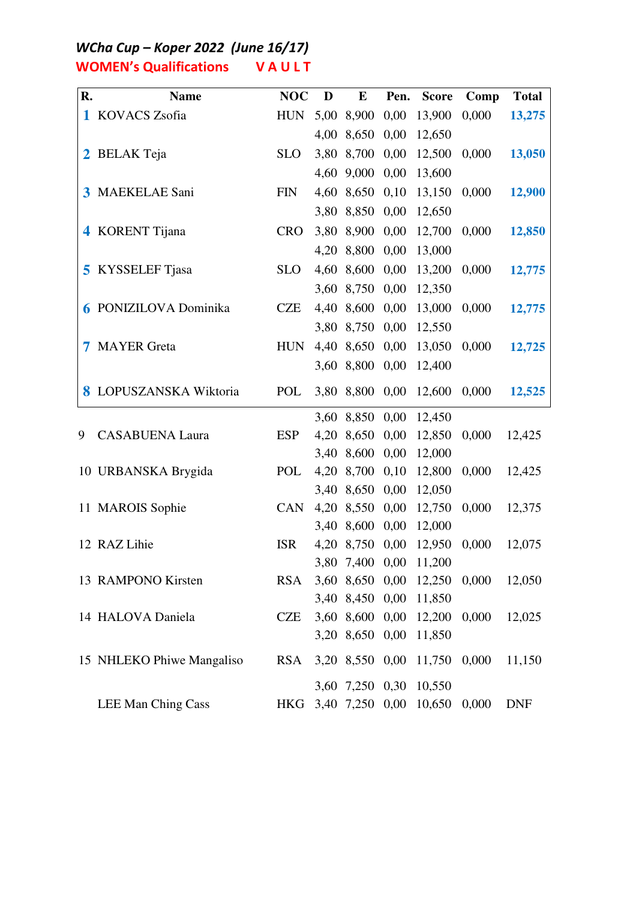WCha Cup - Koper 2022 (June 16/17) **WOMEN's Qualifications VAULT** 

| R. | <b>Name</b>                  | <b>NOC</b> | D | $\bf{E}$        | Pen. | <b>Score</b>                                     | Comp  | <b>Total</b> |
|----|------------------------------|------------|---|-----------------|------|--------------------------------------------------|-------|--------------|
|    | 1 KOVACS Zsofia              | <b>HUN</b> |   | 5,00 8,900 0,00 |      | 13,900                                           | 0,000 | 13,275       |
|    |                              |            |   | 4,00 8,650 0,00 |      | 12,650                                           |       |              |
|    | 2 BELAK Teja                 | <b>SLO</b> |   | 3,80 8,700 0,00 |      | 12,500                                           | 0,000 | 13,050       |
|    |                              |            |   | 4,60 9,000 0,00 |      | 13,600                                           |       |              |
|    | 3 MAEKELAE Sani              | <b>FIN</b> |   | 4,60 8,650 0,10 |      | 13,150                                           | 0,000 | 12,900       |
|    |                              |            |   | 3,80 8,850 0,00 |      | 12,650                                           |       |              |
|    | 4 KORENT Tijana              | <b>CRO</b> |   | 3,80 8,900 0,00 |      | 12,700                                           | 0,000 | 12,850       |
|    |                              |            |   | 4,20 8,800 0,00 |      | 13,000                                           |       |              |
|    | <b>5</b> KYSSELEF Tjasa      | <b>SLO</b> |   | 4,60 8,600 0,00 |      | 13,200                                           | 0,000 | 12,775       |
|    |                              |            |   | 3,60 8,750 0,00 |      | 12,350                                           |       |              |
|    | <b>6 PONIZILOVA Dominika</b> | <b>CZE</b> |   | 4,40 8,600 0,00 |      | 13,000                                           | 0,000 | 12,775       |
|    |                              |            |   | 3,80 8,750 0,00 |      | 12,550                                           |       |              |
|    | <b>7 MAYER Greta</b>         | <b>HUN</b> |   | 4,40 8,650 0,00 |      | 13,050                                           | 0,000 | 12,725       |
|    |                              |            |   | 3,60 8,800 0,00 |      | 12,400                                           |       |              |
|    | 8 LOPUSZANSKA Wiktoria       | POL        |   |                 |      | 3,80 8,800 0,00 12,600                           | 0,000 | 12,525       |
|    |                              |            |   | 3,60 8,850 0,00 |      | 12,450                                           |       |              |
| 9  | <b>CASABUENA Laura</b>       | <b>ESP</b> |   | 4,20 8,650 0,00 |      | 12,850                                           | 0,000 | 12,425       |
|    |                              |            |   | 3,40 8,600 0,00 |      | 12,000                                           |       |              |
|    | 10 URBANSKA Brygida          | POL        |   | 4,20 8,700 0,10 |      | 12,800                                           | 0,000 | 12,425       |
|    |                              |            |   | 3,40 8,650 0,00 |      | 12,050                                           |       |              |
|    | 11 MAROIS Sophie             | CAN        |   | 4,20 8,550 0,00 |      | 12,750                                           | 0,000 | 12,375       |
|    |                              |            |   | 3,40 8,600 0,00 |      | 12,000                                           |       |              |
|    | 12 RAZ Lihie                 | <b>ISR</b> |   |                 |      | 4,20 8,750 0,00 12,950                           | 0,000 | 12,075       |
|    |                              |            |   |                 |      | 3,80 7,400 0,00 11,200                           |       |              |
|    | 13 RAMPONO Kirsten           | <b>RSA</b> |   |                 |      | 3,60 8,650 0,00 12,250                           | 0,000 | 12,050       |
|    | 14 HALOVA Daniela            | <b>CZE</b> |   |                 |      | 3,40 8,450 0,00 11,850<br>3,60 8,600 0,00 12,200 | 0,000 | 12,025       |
|    |                              |            |   |                 |      | 3,20 8,650 0,00 11,850                           |       |              |
|    |                              |            |   |                 |      |                                                  |       |              |
|    | 15 NHLEKO Phiwe Mangaliso    | <b>RSA</b> |   | 3,20 8,550 0,00 |      | 11,750                                           | 0,000 | 11,150       |
|    |                              |            |   |                 |      | 3,60 7,250 0,30 10,550                           |       |              |
|    | <b>LEE Man Ching Cass</b>    |            |   |                 |      | HKG 3,40 7,250 0,00 10,650                       | 0,000 | <b>DNF</b>   |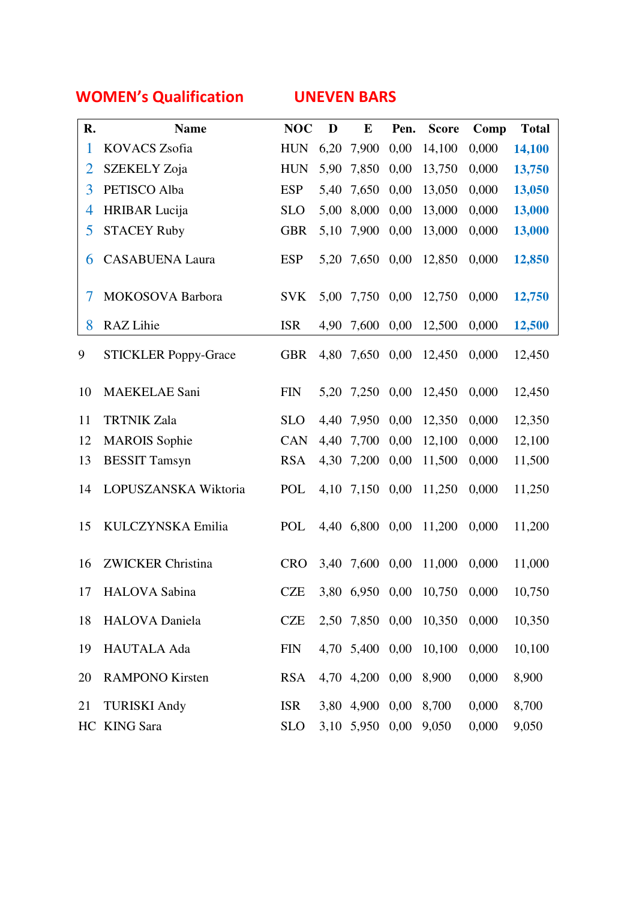## WOMEN's Qualification UNEVEN BARS

| R.             | <b>Name</b>                 | <b>NOC</b> | D    | $\bf{E}$              | Pen. | <b>Score</b>                 | Comp  | <b>Total</b> |
|----------------|-----------------------------|------------|------|-----------------------|------|------------------------------|-------|--------------|
| $\mathbf{1}$   | <b>KOVACS Zsofia</b>        | <b>HUN</b> | 6,20 | 7,900                 | 0,00 | 14,100                       | 0,000 | 14,100       |
| $\overline{2}$ | SZEKELY Zoja                | <b>HUN</b> | 5,90 | 7,850                 | 0,00 | 13,750                       | 0,000 | 13,750       |
| 3              | PETISCO Alba                | <b>ESP</b> | 5,40 | 7,650                 | 0,00 | 13,050                       | 0,000 | 13,050       |
| 4              | <b>HRIBAR</b> Lucija        | <b>SLO</b> | 5,00 | 8,000                 | 0,00 | 13,000                       | 0,000 | 13,000       |
| 5              | <b>STACEY Ruby</b>          | <b>GBR</b> | 5,10 | 7,900                 | 0,00 | 13,000                       | 0,000 | 13,000       |
| 6              | <b>CASABUENA Laura</b>      | <b>ESP</b> |      | 5,20 7,650            | 0,00 | 12,850                       | 0,000 | 12,850       |
| 7              | MOKOSOVA Barbora            | <b>SVK</b> |      | 5,00 7,750            | 0,00 | 12,750                       | 0,000 | 12,750       |
| 8              | RAZ Lihie                   | <b>ISR</b> | 4,90 | 7,600                 | 0,00 | 12,500                       | 0,000 | 12,500       |
| 9              | <b>STICKLER Poppy-Grace</b> | <b>GBR</b> |      | 4,80 7,650            | 0,00 | 12,450                       | 0,000 | 12,450       |
| 10             | <b>MAEKELAE Sani</b>        | <b>FIN</b> | 5,20 | 7,250                 | 0,00 | 12,450                       | 0,000 | 12,450       |
| 11             | <b>TRTNIK Zala</b>          | <b>SLO</b> | 4,40 | 7,950                 | 0,00 | 12,350                       | 0,000 | 12,350       |
| 12             | <b>MAROIS</b> Sophie        | <b>CAN</b> | 4,40 | 7,700                 | 0,00 | 12,100                       | 0,000 | 12,100       |
| 13             | <b>BESSIT Tamsyn</b>        | <b>RSA</b> | 4,30 | 7,200                 | 0,00 | 11,500                       | 0,000 | 11,500       |
| 14             | LOPUSZANSKA Wiktoria        | POL        |      | 4,10 7,150            | 0,00 | 11,250                       | 0,000 | 11,250       |
| 15             | KULCZYNSKA Emilia           | POL        |      | 4,40 6,800 0,00       |      | 11,200                       | 0,000 | 11,200       |
| 16             | <b>ZWICKER Christina</b>    | <b>CRO</b> |      | 3,40 7,600 0,00       |      | 11,000                       | 0,000 | 11,000       |
|                | 17 HALOVA Sabina            | <b>CZE</b> |      |                       |      | 3,80 6,950 0,00 10,750 0,000 |       | 10,750       |
| 18             | <b>HALOVA</b> Daniela       | <b>CZE</b> |      |                       |      | 2,50 7,850 0,00 10,350       | 0,000 | 10,350       |
| 19             | <b>HAUTALA Ada</b>          | <b>FIN</b> |      |                       |      | 4,70 5,400 0,00 10,100       | 0,000 | 10,100       |
| 20             | <b>RAMPONO Kirsten</b>      | <b>RSA</b> |      | 4,70 4,200 0,00 8,900 |      |                              | 0,000 | 8,900        |
| 21             | <b>TURISKI Andy</b>         | <b>ISR</b> |      | 3,80 4,900 0,00 8,700 |      |                              | 0,000 | 8,700        |
|                | HC KING Sara                | <b>SLO</b> |      | 3,10 5,950 0,00 9,050 |      |                              | 0,000 | 9,050        |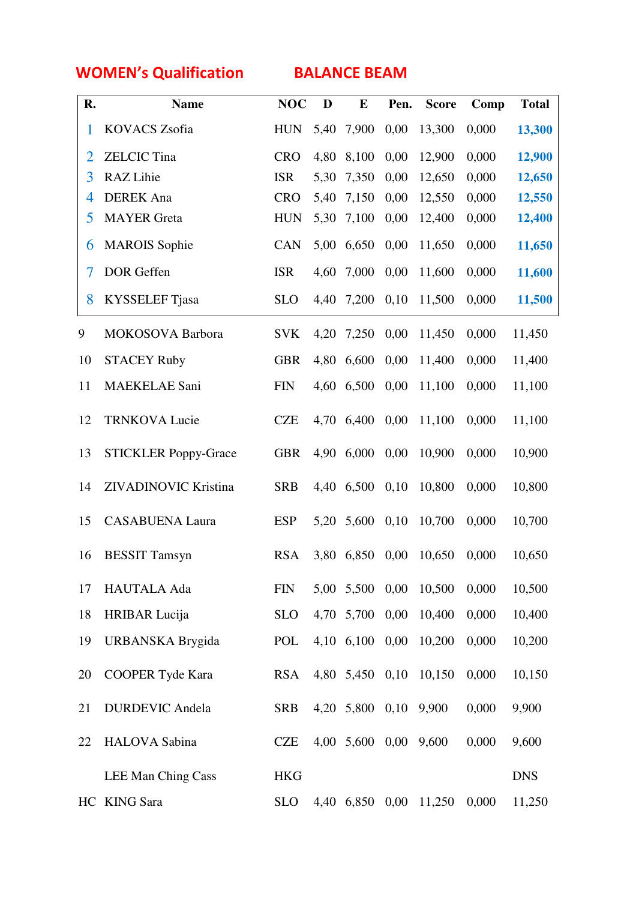WOMEN's Qualification BALANCE BEAM

| R. | <b>Name</b>                 | <b>NOC</b>  | D    | E          | Pen. | <b>Score</b> | Comp  | <b>Total</b> |
|----|-----------------------------|-------------|------|------------|------|--------------|-------|--------------|
| 1  | <b>KOVACS Zsofia</b>        | ${\rm HUN}$ | 5,40 | 7,900      | 0,00 | 13,300       | 0,000 | 13,300       |
| 2  | <b>ZELCIC</b> Tina          | <b>CRO</b>  | 4,80 | 8,100      | 0,00 | 12,900       | 0,000 | 12,900       |
| 3  | RAZ Lihie                   | <b>ISR</b>  | 5,30 | 7,350      | 0,00 | 12,650       | 0,000 | 12,650       |
| 4  | <b>DEREK</b> Ana            | <b>CRO</b>  | 5,40 | 7,150      | 0,00 | 12,550       | 0,000 | 12,550       |
| 5  | <b>MAYER</b> Greta          | <b>HUN</b>  | 5,30 | 7,100      | 0,00 | 12,400       | 0,000 | 12,400       |
| 6  | <b>MAROIS</b> Sophie        | CAN         | 5,00 | 6,650      | 0,00 | 11,650       | 0,000 | 11,650       |
| 7  | DOR Geffen                  | <b>ISR</b>  | 4,60 | 7,000      | 0,00 | 11,600       | 0,000 | 11,600       |
| 8  | KYSSELEF Tjasa              | <b>SLO</b>  | 4,40 | 7,200      | 0,10 | 11,500       | 0,000 | 11,500       |
| 9  | <b>MOKOSOVA Barbora</b>     | <b>SVK</b>  | 4,20 | 7,250      | 0,00 | 11,450       | 0,000 | 11,450       |
| 10 | <b>STACEY Ruby</b>          | <b>GBR</b>  | 4,80 | 6,600      | 0,00 | 11,400       | 0,000 | 11,400       |
| 11 | <b>MAEKELAE Sani</b>        | <b>FIN</b>  | 4,60 | 6,500      | 0,00 | 11,100       | 0,000 | 11,100       |
| 12 | <b>TRNKOVA Lucie</b>        | <b>CZE</b>  |      | 4,70 6,400 | 0,00 | 11,100       | 0,000 | 11,100       |
| 13 | <b>STICKLER Poppy-Grace</b> | <b>GBR</b>  | 4,90 | 6,000      | 0,00 | 10,900       | 0,000 | 10,900       |
| 14 | ZIVADINOVIC Kristina        | <b>SRB</b>  | 4,40 | 6,500      | 0,10 | 10,800       | 0,000 | 10,800       |
| 15 | <b>CASABUENA Laura</b>      | <b>ESP</b>  | 5,20 | 5,600      | 0,10 | 10,700       | 0,000 | 10,700       |
| 16 | <b>BESSIT Tamsyn</b>        | <b>RSA</b>  | 3,80 | 6,850      | 0,00 | 10,650       | 0,000 | 10,650       |
| 17 | HAUTALA Ada                 | <b>FIN</b>  |      | 5,00 5,500 | 0,00 | 10,500       | 0,000 | 10,500       |
| 18 | <b>HRIBAR</b> Lucija        | <b>SLO</b>  | 4,70 | 5,700      | 0,00 | 10,400       | 0,000 | 10,400       |
| 19 | <b>URBANSKA Brygida</b>     | POL         |      | 4,10 6,100 | 0,00 | 10,200       | 0,000 | 10,200       |
| 20 | <b>COOPER Tyde Kara</b>     | <b>RSA</b>  |      | 4,80 5,450 | 0,10 | 10,150       | 0,000 | 10,150       |
| 21 | <b>DURDEVIC Andela</b>      | <b>SRB</b>  |      | 4,20 5,800 | 0,10 | 9,900        | 0,000 | 9,900        |
| 22 | HALOVA Sabina               | <b>CZE</b>  |      | 4,00 5,600 | 0,00 | 9,600        | 0,000 | 9,600        |
|    | <b>LEE Man Ching Cass</b>   | <b>HKG</b>  |      |            |      |              |       | <b>DNS</b>   |
|    | HC KING Sara                | <b>SLO</b>  | 4,40 | 6,850      | 0,00 | 11,250       | 0,000 | 11,250       |